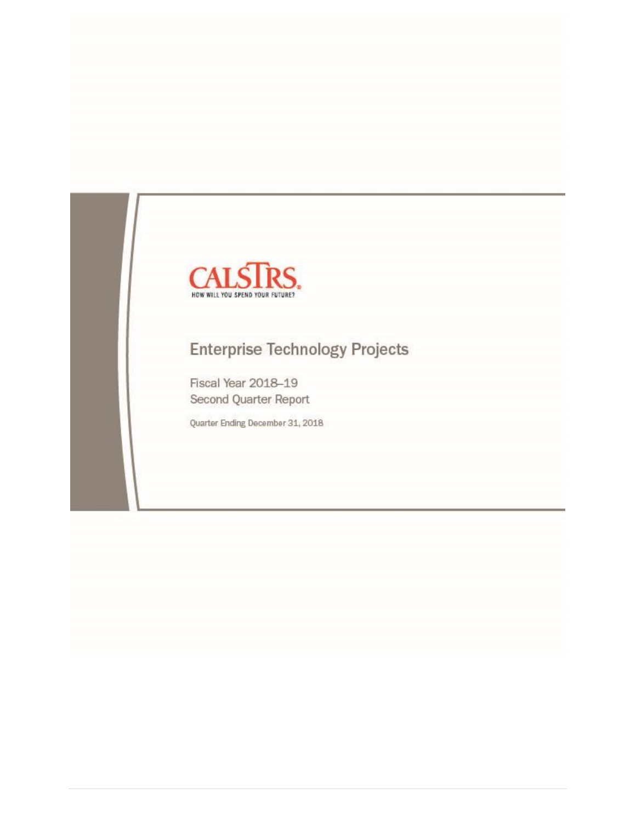

# **Enterprise Technology Projects**

Fiscal Year 2018-19 Second Quarter Report

Quarter Ending December 31, 2018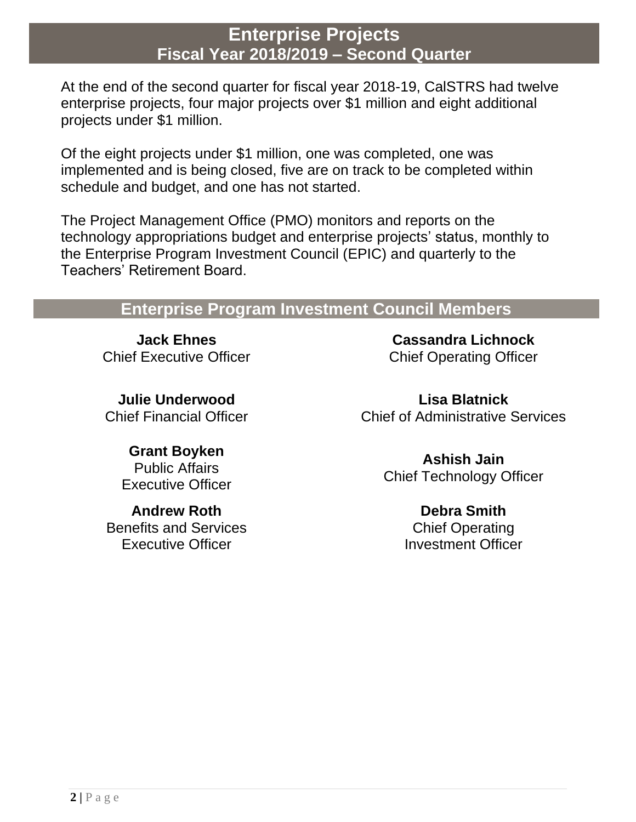At the end of the second quarter for fiscal year 2018-19, CalSTRS had twelve enterprise projects, four major projects over \$1 million and eight additional projects under \$1 million.

Of the eight projects under \$1 million, one was completed, one was implemented and is being closed, five are on track to be completed within schedule and budget, and one has not started.

The Project Management Office (PMO) monitors and reports on the technology appropriations budget and enterprise projects' status, monthly to the Enterprise Program Investment Council (EPIC) and quarterly to the Teachers' Retirement Board.

## **Enterprise Program Investment Council Members**

**Jack Ehnes** Chief Executive Officer

**Julie Underwood** Chief Financial Officer

**Cassandra Lichnock** Chief Operating Officer

**Lisa Blatnick** Chief of Administrative Services

**Grant Boyken** Public Affairs Executive Officer

**Andrew Roth** Benefits and Services Executive Officer

**Ashish Jain** Chief Technology Officer

> **Debra Smith** Chief Operating Investment Officer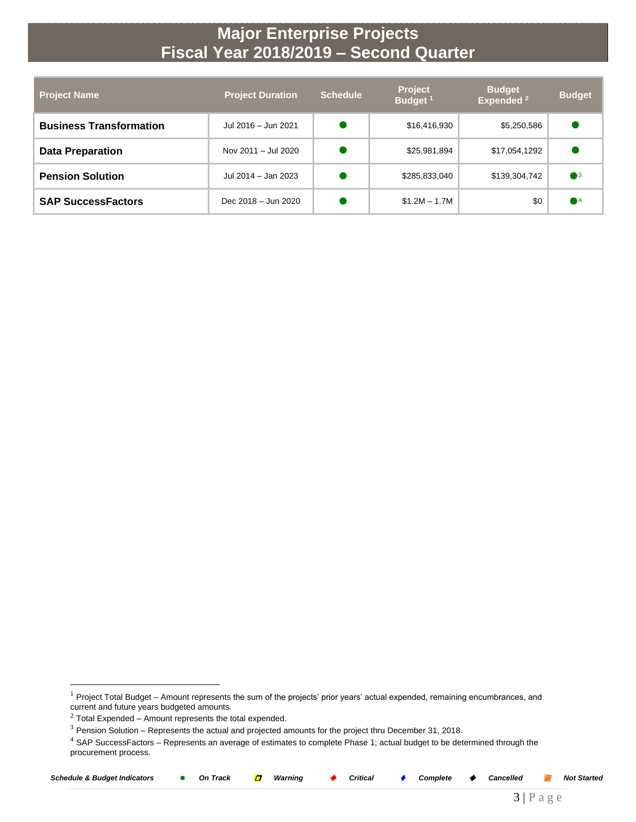| <b>Project Name</b>            | <b>Project Duration</b> | <b>Schedule</b> | <b>Project</b><br>Budget <sup>1</sup> | <b>Budget</b><br>Expended <sup>2</sup> | <b>Budget</b>          |
|--------------------------------|-------------------------|-----------------|---------------------------------------|----------------------------------------|------------------------|
| <b>Business Transformation</b> | Jul 2016 - Jun 2021     |                 | \$16,416,930                          | \$5,250,586                            |                        |
| <b>Data Preparation</b>        | Nov 2011 - Jul 2020     |                 | \$25,981,894                          | \$17,054,1292                          |                        |
| <b>Pension Solution</b>        | Jul 2014 - Jan 2023     |                 | \$285,833,040                         | \$139,304,742                          | $\bullet$ <sup>3</sup> |
| <b>SAP SuccessFactors</b>      | Dec 2018 - Jun 2020     |                 | $$1.2M - 1.7M$                        | \$0                                    | $\blacksquare$ 4       |

 $4$  SAP SuccessFactors – Represents an average of estimates to complete Phase 1; actual budget to be determined through the procurement process.

| Schedule<br>، Budget Indicators<br>Track<br>Оn |  | Warning | Critical |  | Complete |  | Cancelled |  | Started<br>Noi |
|------------------------------------------------|--|---------|----------|--|----------|--|-----------|--|----------------|
|------------------------------------------------|--|---------|----------|--|----------|--|-----------|--|----------------|

 $\overline{a}$ 

3 | P a g e

 $1$  Project Total Budget – Amount represents the sum of the projects' prior years' actual expended, remaining encumbrances, and current and future years budgeted amounts.

 $2$  Total Expended – Amount represents the total expended.

<sup>3</sup> Pension Solution – Represents the actual and projected amounts for the project thru December 31, 2018.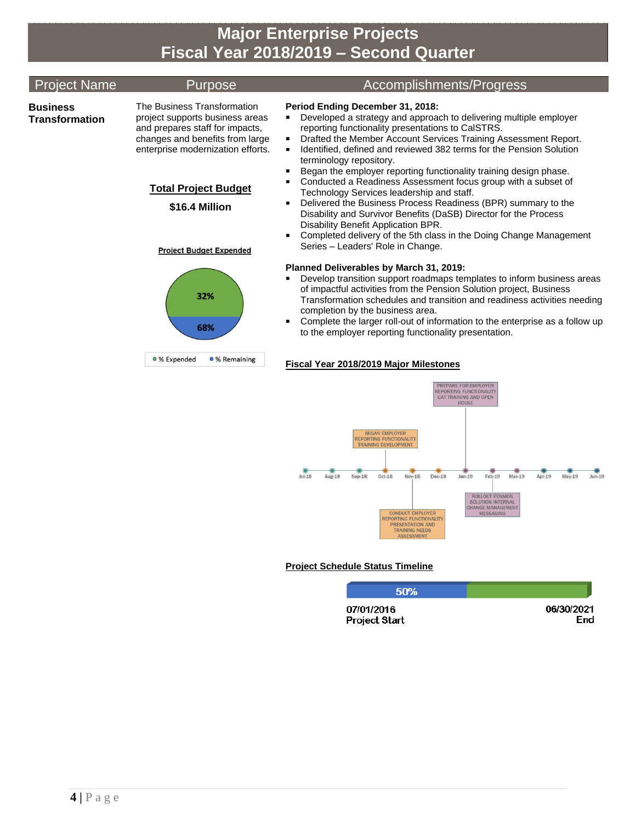| <b>Project Name</b>               | <b>Purpose</b>                                                                                                                                                                                                                                               | Accomplishments/Progress                                                                                                                                                                                                                                                                                                                                                                                                                                                                                                                                                                                                                                                                                                                                                                                                                                     |
|-----------------------------------|--------------------------------------------------------------------------------------------------------------------------------------------------------------------------------------------------------------------------------------------------------------|--------------------------------------------------------------------------------------------------------------------------------------------------------------------------------------------------------------------------------------------------------------------------------------------------------------------------------------------------------------------------------------------------------------------------------------------------------------------------------------------------------------------------------------------------------------------------------------------------------------------------------------------------------------------------------------------------------------------------------------------------------------------------------------------------------------------------------------------------------------|
| <b>Business</b><br>Transformation | The Business Transformation<br>project supports business areas<br>and prepares staff for impacts,<br>changes and benefits from large<br>enterprise modernization efforts.<br><b>Total Project Budget</b><br>\$16.4 Million<br><b>Project Budget Expended</b> | Period Ending December 31, 2018:<br>Developed a strategy and approach to delivering multiple employer<br>П<br>reporting functionality presentations to CalSTRS.<br>Drafted the Member Account Services Training Assessment Report.<br>٠<br>Identified, defined and reviewed 382 terms for the Pension Solution<br>terminology repository.<br>Began the employer reporting functionality training design phase.<br>Conducted a Readiness Assessment focus group with a subset of<br>$\blacksquare$<br>Technology Services leadership and staff.<br>Delivered the Business Process Readiness (BPR) summary to the<br>П<br>Disability and Survivor Benefits (DaSB) Director for the Process<br>Disability Benefit Application BPR.<br>Completed delivery of the 5th class in the Doing Change Management<br>$\blacksquare$<br>Series - Leaders' Role in Change. |
|                                   | 32%<br>68%<br>● % Expended<br>• % Remaining                                                                                                                                                                                                                  | Planned Deliverables by March 31, 2019:<br>Develop transition support roadmaps templates to inform business areas<br>ш<br>of impactful activities from the Pension Solution project, Business<br>Transformation schedules and transition and readiness activities needing<br>completion by the business area.<br>Complete the larger roll-out of information to the enterprise as a follow up<br>п<br>to the employer reporting functionality presentation.                                                                                                                                                                                                                                                                                                                                                                                                  |



## **Project Schedule Status Timeline**

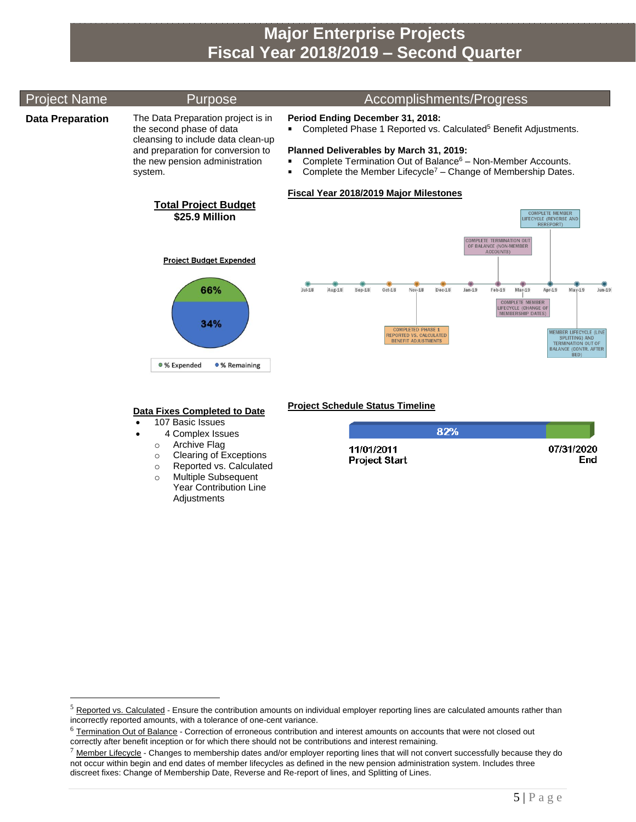#### Project Name Purpose Accomplishments/Progress **Data Preparation** The Data Preparation project is in **Period Ending December 31, 2018:** the second phase of data Completed Phase 1 Reported vs. Calculated<sup>5</sup> Benefit Adjustments. cleansing to include data clean-up and preparation for conversion to **Planned Deliverables by March 31, 2019:** ■ Complete Termination Out of Balance<sup>6</sup> – Non-Member Accounts. the new pension administration **• Complete the Member Lifecycle<sup>7</sup> – Change of Membership Dates.** system. **Fiscal Year 2018/2019 Major Milestones Total Project Budget** COMPLETE MEMBER<br>LIFECYCLE (REVERSE AND<br>REREPORT) **\$25.9 Million** OMPLETE TERMINATION OU<br>OF BALANCE (NON-MEMBER **Project Budget Expended** 66%  $Jul-18$  $Aug-18$  $Sep-18$  $Oct-18$  $Nov-18$  $Dec-18$  $Jan-19$  $Feb-19$  $Mar-19$  $Arr-19$  $Mav-19$  $Jun-19$ **COMPLETE MEMBER** LIFECYCLE (CHANGE OF<br>MEMBERSHIP DATES) 34% COMPLETED PHASE 1<br>REPORTED VS. CALCULATED<br>RENEFIT ADJUSTMENTS **IEMBER LIFECYCLE (LIN** SPLITTING) AND<br>TERMINATION OUT OF<br>BALANCE (CONTR. AFTER **BENEFIT ADJUSTMENTS** BED) · % Expended ● % Remaining

### **Data Fixes Completed to Date**

- 107 Basic Issues
- 4 Complex Issues
	- o Archive Flag

 $\overline{a}$ 

- o Clearing of Exceptions
- o Reported vs. Calculated
- o Multiple Subsequent Year Contribution Line **Adjustments**

## **Project Schedule Status Timeline**

| 82%                  |            |
|----------------------|------------|
| 11/01/2011           | 07/31/2020 |
| <b>Project Start</b> | End        |

 $<sup>5</sup>$  Reported vs. Calculated - Ensure the contribution amounts on individual employer reporting lines are calculated amounts rather than</sup> incorrectly reported amounts, with a tolerance of one-cent variance.

 $6$  Termination Out of Balance - Correction of erroneous contribution and interest amounts on accounts that were not closed out correctly after benefit inception or for which there should not be contributions and interest remaining.

 $7$  Member Lifecycle - Changes to membership dates and/or employer reporting lines that will not convert successfully because they do not occur within begin and end dates of member lifecycles as defined in the new pension administration system. Includes three discreet fixes: Change of Membership Date, Reverse and Re-report of lines, and Splitting of Lines.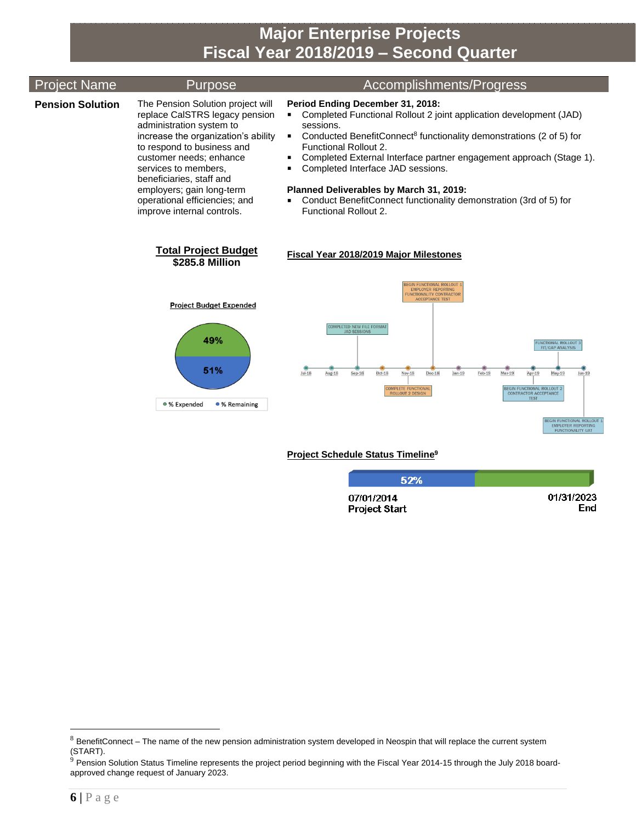| <b>Project Name</b>     | Purpose                                                                                                                                                                                                                                                                                                                                         | <b>Accomplishments/Progress</b>                                                                                                                                                                                                                                                                                                                                                                                                                                                                                                                                                           |
|-------------------------|-------------------------------------------------------------------------------------------------------------------------------------------------------------------------------------------------------------------------------------------------------------------------------------------------------------------------------------------------|-------------------------------------------------------------------------------------------------------------------------------------------------------------------------------------------------------------------------------------------------------------------------------------------------------------------------------------------------------------------------------------------------------------------------------------------------------------------------------------------------------------------------------------------------------------------------------------------|
| <b>Pension Solution</b> | The Pension Solution project will<br>replace CalSTRS legacy pension<br>administration system to<br>increase the organization's ability<br>to respond to business and<br>customer needs; enhance<br>services to members.<br>beneficiaries, staff and<br>employers; gain long-term<br>operational efficiencies; and<br>improve internal controls. | Period Ending December 31, 2018:<br>Completed Functional Rollout 2 joint application development (JAD)<br>sessions.<br>Conducted BenefitConnect <sup>8</sup> functionality demonstrations (2 of 5) for<br>$\blacksquare$<br>Functional Rollout 2.<br>Completed External Interface partner engagement approach (Stage 1).<br>Completed Interface JAD sessions.<br>Planned Deliverables by March 31, 2019:<br>Conduct BenefitConnect functionality demonstration (3rd of 5) for<br><b>Functional Rollout 2.</b>                                                                             |
|                         | <b>Total Project Budget</b><br>\$285.8 Million                                                                                                                                                                                                                                                                                                  | <b>Fiscal Year 2018/2019 Major Milestones</b>                                                                                                                                                                                                                                                                                                                                                                                                                                                                                                                                             |
|                         | <b>Project Budget Expended</b><br>49%<br>51%<br>• % Expended<br>• % Remaining                                                                                                                                                                                                                                                                   | EGIN FUNCTIONAL ROLLOUT<br><b>EMPLOYER REPORTING</b><br>UNCTIONALITY CONTRACTOR<br><b>ACCEPTANCE TEST</b><br>COMPLETED NEW FILE FORMAT<br><b>JAD SESSIONS</b><br><b>FUNCTIONAL ROLLOUT 3</b><br>FIT/GAP ANALYSIS<br>Sep-18<br>$Oct-18$<br><b>Nov-18</b><br>$Dec-18$<br>$Jan-19$<br>Feb-19<br>$Mar-19$<br>$Arr-19$<br>$May-19$<br>$Jun-19$<br>$10-18$<br>Aug-18<br>BEGIN FUNCTIONAL ROLLOUT 2<br>COMPLETE FUNCTIONAL<br><b>ROLLOUT 2 DESIGN</b><br><b>CONTRACTOR ACCEPTANCE</b><br><b>TEST</b><br><b>BEGIN FUNCTIONAL ROLLOUT</b><br><b>EMPLOYER REPORTING</b><br><b>FUNCTIONALITY UAT</b> |

### **Project Schedule Status Timeline 9**

| 52%                  |            |
|----------------------|------------|
| 07/01/2014           | 01/31/2023 |
| <b>Project Start</b> | End        |

 $\overline{a}$ 

 $8$  BenefitConnect – The name of the new pension administration system developed in Neospin that will replace the current system (START).

 $9$  Pension Solution Status Timeline represents the project period beginning with the Fiscal Year 2014-15 through the July 2018 boardapproved change request of January 2023.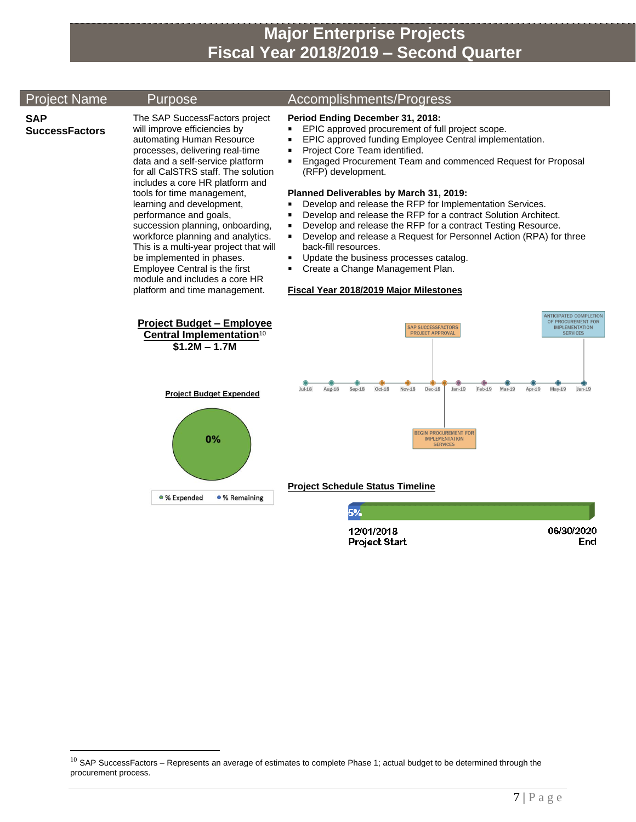## Project Name Purpose Accomplishments/Progress

### **SAP SuccessFactors**

 $\overline{a}$ 

The SAP SuccessFactors project will improve efficiencies by automating Human Resource processes, delivering real-time data and a self-service platform for all CalSTRS staff. The solution includes a core HR platform and tools for time management, learning and development, performance and goals, succession planning, onboarding, workforce planning and analytics. This is a multi-year project that will be implemented in phases. Employee Central is the first module and includes a core HR platform and time management.

- **Period Ending December 31, 2018:**
- EPIC approved procurement of full project scope.
- **EPIC approved funding Employee Central implementation.**
- **Project Core Team identified.**
- Engaged Procurement Team and commenced Request for Proposal (RFP) development.

#### **Planned Deliverables by March 31, 2019:**

- **Develop and release the RFP for Implementation Services.**
- **Develop and release the RFP for a contract Solution Architect.**
- Develop and release the RFP for a contract Testing Resource.
- Develop and release a Request for Personnel Action (RPA) for three back-fill resources.
- Update the business processes catalog.
- Create a Change Management Plan.

#### **Fiscal Year 2018/2019 Major Milestones**



12/01/2018 **Project Start**  06/30/2020

End

 $10$  SAP SuccessFactors – Represents an average of estimates to complete Phase 1; actual budget to be determined through the procurement process.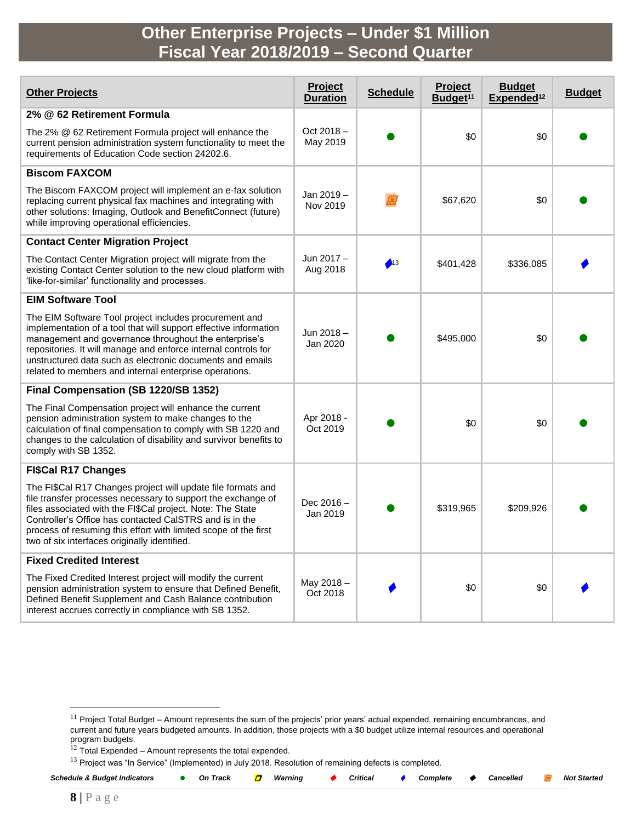## **Other Enterprise Projects – Under \$1 Million Fiscal Year 2018/2019 – Second Quarter**

| <b>Other Projects</b>                                                                                                                                                                                                                                                                                                                                                        | Project<br><b>Duration</b> | <b>Schedule</b> | Project<br>Budget <sup>11</sup> | <b>Budget</b><br>Expended <sup>12</sup> | <b>Budget</b> |
|------------------------------------------------------------------------------------------------------------------------------------------------------------------------------------------------------------------------------------------------------------------------------------------------------------------------------------------------------------------------------|----------------------------|-----------------|---------------------------------|-----------------------------------------|---------------|
| 2% @ 62 Retirement Formula                                                                                                                                                                                                                                                                                                                                                   |                            |                 |                                 |                                         |               |
| The 2% @ 62 Retirement Formula project will enhance the<br>current pension administration system functionality to meet the<br>requirements of Education Code section 24202.6.                                                                                                                                                                                                | Oct 2018-<br>May 2019      |                 | \$0                             | \$0                                     |               |
| <b>Biscom FAXCOM</b>                                                                                                                                                                                                                                                                                                                                                         |                            |                 |                                 |                                         |               |
| The Biscom FAXCOM project will implement an e-fax solution<br>replacing current physical fax machines and integrating with<br>other solutions: Imaging, Outlook and BenefitConnect (future)<br>while improving operational efficiencies.                                                                                                                                     | Jan 2019 -<br>Nov 2019     |                 | \$67,620                        | \$0                                     |               |
| <b>Contact Center Migration Project</b>                                                                                                                                                                                                                                                                                                                                      |                            |                 |                                 |                                         |               |
| The Contact Center Migration project will migrate from the<br>existing Contact Center solution to the new cloud platform with<br>'like-for-similar' functionality and processes.                                                                                                                                                                                             | Jun 2017 -<br>Aug 2018     | $\bullet$ 13    | \$401,428                       | \$336,085                               |               |
| <b>EIM Software Tool</b>                                                                                                                                                                                                                                                                                                                                                     |                            |                 |                                 |                                         |               |
| The EIM Software Tool project includes procurement and<br>implementation of a tool that will support effective information<br>management and governance throughout the enterprise's<br>repositories. It will manage and enforce internal controls for<br>unstructured data such as electronic documents and emails<br>related to members and internal enterprise operations. | Jun 2018-<br>Jan 2020      |                 | \$495,000                       | \$0                                     |               |
| Final Compensation (SB 1220/SB 1352)                                                                                                                                                                                                                                                                                                                                         |                            |                 |                                 |                                         |               |
| The Final Compensation project will enhance the current<br>pension administration system to make changes to the<br>calculation of final compensation to comply with SB 1220 and<br>changes to the calculation of disability and survivor benefits to<br>comply with SB 1352.                                                                                                 | Apr 2018 -<br>Oct 2019     |                 | \$0                             | \$0                                     |               |
| <b>FI\$Cal R17 Changes</b>                                                                                                                                                                                                                                                                                                                                                   |                            |                 |                                 |                                         |               |
| The FI\$Cal R17 Changes project will update file formats and<br>file transfer processes necessary to support the exchange of<br>files associated with the FI\$Cal project. Note: The State<br>Controller's Office has contacted CaISTRS and is in the<br>process of resuming this effort with limited scope of the first<br>two of six interfaces originally identified.     | Dec 2016-<br>Jan 2019      |                 | \$319,965                       | \$209,926                               |               |
| <b>Fixed Credited Interest</b>                                                                                                                                                                                                                                                                                                                                               |                            |                 |                                 |                                         |               |
| The Fixed Credited Interest project will modify the current<br>pension administration system to ensure that Defined Benefit,<br>Defined Benefit Supplement and Cash Balance contribution<br>interest accrues correctly in compliance with SB 1352.                                                                                                                           | May 2018-<br>Oct 2018      |                 | \$0                             | \$0                                     |               |

 $12$  Total Expended – Amount represents the total expended.

<sup>&</sup>lt;sup>13</sup> Project was "In Service" (Implemented) in July 2018. Resolution of remaining defects is completed.

| <b>Schedule &amp; Budget Indicators</b> | On Track | Warning | Critical | $\bullet$ Complete $\bullet$ Cancelled |  | <b>Not Started</b> |
|-----------------------------------------|----------|---------|----------|----------------------------------------|--|--------------------|
|                                         |          |         |          |                                        |  |                    |

 $\overline{a}$ 

<sup>&</sup>lt;sup>11</sup> Project Total Budget – Amount represents the sum of the projects' prior years' actual expended, remaining encumbrances, and current and future years budgeted amounts. In addition, those projects with a \$0 budget utilize internal resources and operational program budgets.